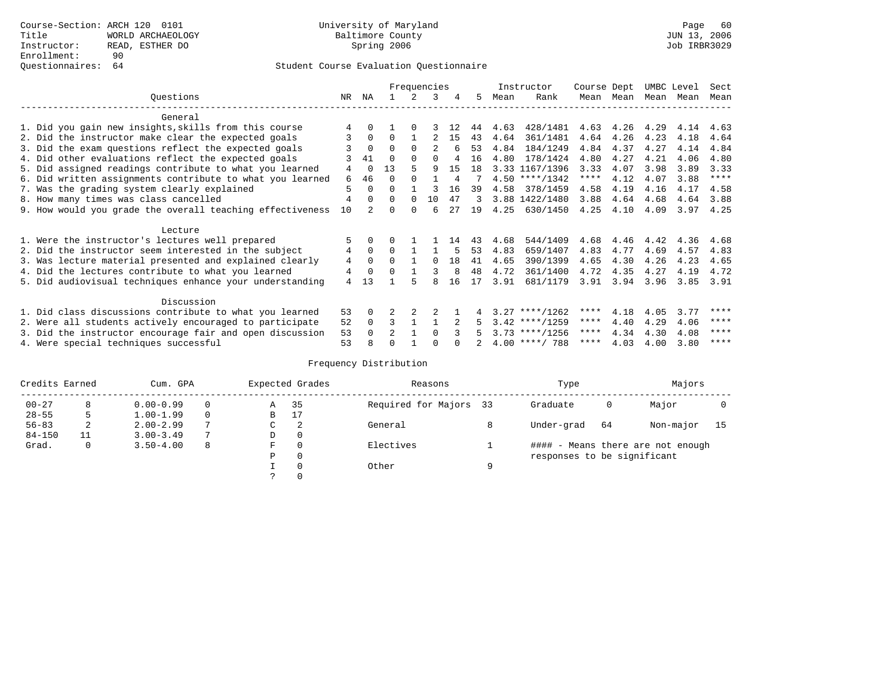# Questionnaires: 64 Student Course Evaluation Questionnaire

|                                                           |    | Frequencies |                |          |          |     |     |      | Instructor       | Course Dept |           | UMBC Level |           | Sect |
|-----------------------------------------------------------|----|-------------|----------------|----------|----------|-----|-----|------|------------------|-------------|-----------|------------|-----------|------|
| Ouestions                                                 | NR | ΝA          |                | 2        | 3        | 4   | 5   | Mean | Rank             |             | Mean Mean |            | Mean Mean | Mean |
| General                                                   |    |             |                |          |          |     |     |      |                  |             |           |            |           |      |
| 1. Did you gain new insights, skills from this course     |    |             |                |          |          | 12  | 44  | 4.63 | 428/1481         | 4.63        | 4.26      | 4.29       | 4.14      | 4.63 |
| 2. Did the instructor make clear the expected goals       |    | $\Omega$    | 0              |          |          | 15  | 43  | 4.64 | 361/1481         | 4.64        | 4.26      | 4.23       | 4.18      | 4.64 |
| 3. Did the exam questions reflect the expected goals      |    | $\Omega$    | 0              | $\Omega$ |          |     | 53  | 4.84 | 184/1249         | 4.84        | 4.37      | 4.27       | 4.14      | 4.84 |
| 4. Did other evaluations reflect the expected goals       |    | 41          | U              | $\Omega$ |          |     | 16  | 4.80 | 178/1424         | 4.80        | 4.27      | 4.21       | 4.06      | 4.80 |
| 5. Did assigned readings contribute to what you learned   | 4  | $\Omega$    | 13             |          | 9        | 15  | 1 R |      | 3.33 1167/1396   | 3.33        | 4.07      | 3.98       | 3.89      | 3.33 |
| 6. Did written assignments contribute to what you learned | 6  | 46          | 0              |          |          | 4   |     |      | $4.50$ ****/1342 | ****        | 4.12      | 4.07       | 3.88      | **** |
| 7. Was the grading system clearly explained               | 5  |             | U              |          |          | 16  | 39  | 4.58 | 378/1459         | 4.58        | 4.19      | 4.16       | 4.17      | 4.58 |
| 8. How many times was class cancelled                     | 4  |             | 0              | 0        | 10       | 47  | 3   |      | 3.88 1422/1480   | 3.88        | 4.64      | 4.68       | 4.64      | 3.88 |
| 9. How would you grade the overall teaching effectiveness | 10 |             |                |          | б        | 27  | 19  | 4.25 | 630/1450         | 4.25        | 4.10      | 4.09       | 3.97      | 4.25 |
|                                                           |    |             |                |          |          |     |     |      |                  |             |           |            |           |      |
| Lecture                                                   |    |             |                |          |          |     |     |      |                  |             |           |            |           |      |
| 1. Were the instructor's lectures well prepared           | 5  |             |                |          |          | 14  | 43  | 4.68 | 544/1409         | 4.68        | 4.46      | 4.42       | 4.36      | 4.68 |
| 2. Did the instructor seem interested in the subject      | 4  | $\mathbf 0$ | 0              |          |          |     | 53  | 4.83 | 659/1407         | 4.83        | 4.77      | 4.69       | 4.57      | 4.83 |
| 3. Was lecture material presented and explained clearly   | 4  | $\Omega$    | 0              |          | $\Omega$ | 1 R | 41  | 4.65 | 390/1399         | 4.65        | 4.30      | 4.26       | 4.23      | 4.65 |
| 4. Did the lectures contribute to what you learned        | 4  | $\mathbf 0$ |                |          |          | 8   | 48  | 4.72 | 361/1400         | 4.72        | 4.35      | 4.27       | 4.19      | 4.72 |
| 5. Did audiovisual techniques enhance your understanding  | 4  | 13          |                |          |          | 16  | 17  | 3.91 | 681/1179         | 3.91        | 3.94      | 3.96       | 3.85      | 3.91 |
|                                                           |    |             |                |          |          |     |     |      |                  |             |           |            |           |      |
| Discussion                                                |    |             |                |          |          |     |     |      |                  |             |           |            |           |      |
| 1. Did class discussions contribute to what you learned   | 53 | 0           |                |          |          |     |     |      | $3.27$ ****/1262 | ****        | 4.18      | 4.05       | 3.77      | **** |
| 2. Were all students actively encouraged to participate   | 52 | $\Omega$    | 3              |          |          |     |     |      | $3.42$ ****/1259 | ****        | 4.40      | 4.29       | 4.06      | **** |
| 3. Did the instructor encourage fair and open discussion  | 53 |             | $\overline{a}$ |          |          |     |     |      | $3.73$ ****/1256 | ****        | 4.34      | 4.30       | 4.08      | **** |
| 4. Were special techniques successful                     | 53 |             |                |          |          |     |     |      | $4.00$ ****/ 788 | ****        | 4.03      | 4.00       | 3.80      | **** |

# Frequency Distribution

| Credits Earned |    | Cum. GPA      |   |               | Expected Grades | Reasons                |   | Type                        | Majors |                                   |    |
|----------------|----|---------------|---|---------------|-----------------|------------------------|---|-----------------------------|--------|-----------------------------------|----|
| $00 - 27$      | 8  | $0.00 - 0.99$ |   | Α             | 35              | Required for Majors 33 |   | Graduate                    | 0      | Major                             |    |
| $28 - 55$      | 5  | $1.00 - 1.99$ |   | В             | 17              |                        |   |                             |        |                                   |    |
| $56 - 83$      | 2  | $2.00 - 2.99$ | 7 | $\sim$<br>◡   | -2              | General                |   | Under-grad                  | 64     | Non-major                         | 15 |
| $84 - 150$     | 11 | $3.00 - 3.49$ |   | D             | 0               |                        |   |                             |        |                                   |    |
| Grad.          | 0  | $3.50 - 4.00$ | 8 | F             | 0               | Electives              |   |                             |        | #### - Means there are not enough |    |
|                |    |               |   | Ρ             | 0               |                        |   | responses to be significant |        |                                   |    |
|                |    |               |   |               | 0               | Other                  | a |                             |        |                                   |    |
|                |    |               |   | $\mathcal{L}$ |                 |                        |   |                             |        |                                   |    |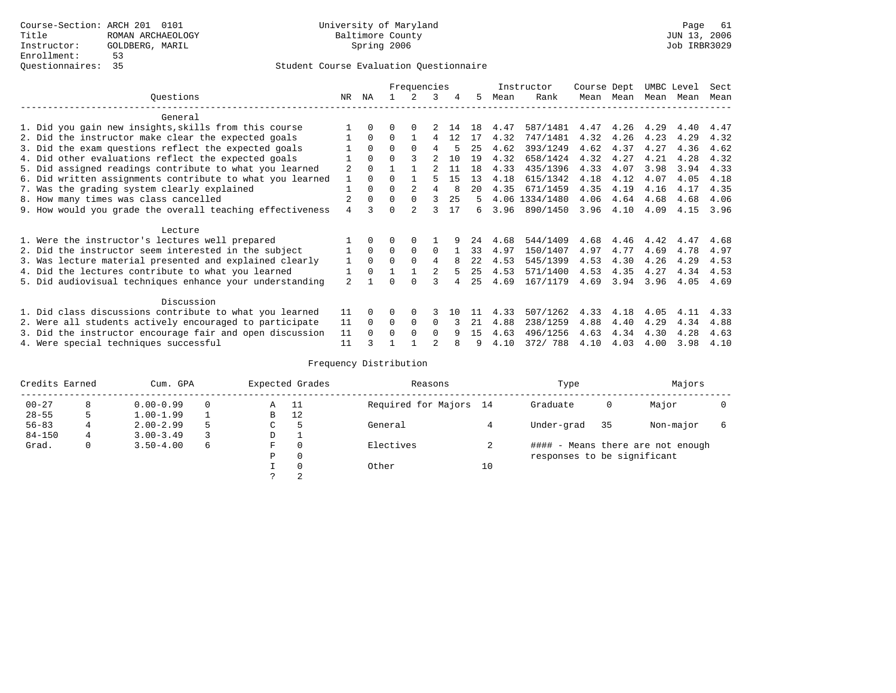### Student Course Evaluation Questionnaire

|                                                           |                |          |              | Frequencies    |                |     |      |      | Instructor     | Course Dept |           | UMBC Level |      | Sect |
|-----------------------------------------------------------|----------------|----------|--------------|----------------|----------------|-----|------|------|----------------|-------------|-----------|------------|------|------|
| Ouestions                                                 | NR.            | ΝA       |              | 2              | 3              | 4   | 5.   | Mean | Rank           |             | Mean Mean | Mean       | Mean | Mean |
| General                                                   |                |          |              |                |                |     |      |      |                |             |           |            |      |      |
| 1. Did you gain new insights, skills from this course     |                | $\Omega$ | 0            | $\Omega$       |                | 14  | 18   | 4.47 | 587/1481       | 4.47        | 4.26      | 4.29       | 4.40 | 4.47 |
| 2. Did the instructor make clear the expected goals       |                | $\Omega$ | $\Omega$     |                | 4              | 12  | 17   | 4.32 | 747/1481       | 4.32        | 4.26      | 4.23       | 4.29 | 4.32 |
| 3. Did the exam questions reflect the expected goals      |                | $\Omega$ | $\Omega$     | $\Omega$       | 4              |     | 25   | 4.62 | 393/1249       | 4.62        | 4.37      | 4.27       | 4.36 | 4.62 |
| 4. Did other evaluations reflect the expected goals       |                | $\Omega$ | U            |                |                | 10  | 19   | 4.32 | 658/1424       | 4.32        | 4.27      | 4.21       | 4.28 | 4.32 |
| 5. Did assigned readings contribute to what you learned   | 2              | $\Omega$ |              |                |                | 11  | 1.8  | 4.33 | 435/1396       | 4.33        | 4.07      | 3.98       | 3.94 | 4.33 |
| 6. Did written assignments contribute to what you learned |                | $\Omega$ | U            |                |                | 15  | 13   | 4.18 | 615/1342       | 4.18        | 4.12      | 4.07       | 4.05 | 4.18 |
| 7. Was the grading system clearly explained               |                | $\Omega$ | 0            | $\mathfrak{D}$ | 4              |     | 20   | 4.35 | 671/1459       | 4.35        | 4.19      | 4.16       | 4.17 | 4.35 |
| 8. How many times was class cancelled                     |                | $\Omega$ | $\Omega$     | $\Omega$       |                | 25  | 5    |      | 4.06 1334/1480 | 4.06        | 4.64      | 4.68       | 4.68 | 4.06 |
| 9. How would you grade the overall teaching effectiveness | 4              |          | <sup>n</sup> |                |                | 17  | б.   | 3.96 | 890/1450       | 3.96        | 4.10      | 4.09       | 4.15 | 3.96 |
| Lecture                                                   |                |          |              |                |                |     |      |      |                |             |           |            |      |      |
| 1. Were the instructor's lectures well prepared           |                |          |              |                |                |     | 24   | 4.68 | 544/1409       | 4.68        | 4.46      | 4.42       | 4.47 | 4.68 |
| 2. Did the instructor seem interested in the subject      |                | $\Omega$ | $\Omega$     | $\Omega$       | $\Omega$       |     | 33   | 4.97 | 150/1407       | 4.97        | 4.77      | 4.69       | 4.78 | 4.97 |
| 3. Was lecture material presented and explained clearly   | 1              | $\Omega$ | $\Omega$     | $\Omega$       | 4              |     | 2.2. | 4.53 | 545/1399       | 4.53        | 4.30      | 4.26       | 4.29 | 4.53 |
| 4. Did the lectures contribute to what you learned        |                | $\Omega$ |              |                |                |     | 25   | 4.53 | 571/1400       | 4.53        | 4.35      | 4.27       | 4.34 | 4.53 |
| 5. Did audiovisual techniques enhance your understanding  | $\overline{a}$ |          |              |                |                |     | 25   | 4.69 | 167/1179       | 4.69        | 3.94      | 3.96       | 4.05 | 4.69 |
| Discussion                                                |                |          |              |                |                |     |      |      |                |             |           |            |      |      |
| 1. Did class discussions contribute to what you learned   | 11             | $\Omega$ | O            | $\Omega$       |                | 1 N |      | 4.33 | 507/1262       | 4.33        | 4.18      | 4.05       | 4.11 | 4.33 |
| 2. Were all students actively encouraged to participate   | 11             | $\Omega$ | $\Omega$     | $\Omega$       | $\Omega$       |     | 21   | 4.88 | 238/1259       | 4.88        | 4.40      | 4.29       | 4.34 | 4.88 |
| 3. Did the instructor encourage fair and open discussion  | 11             |          | U            | $\Omega$       | $\Omega$       | q   | 15   | 4.63 | 496/1256       | 4.63        | 4.34      | 4.30       | 4.28 | 4.63 |
| 4. Were special techniques successful                     | 11             |          |              |                | $\mathfrak{D}$ |     |      | 4.10 | 372/ 788       | 4.10        | 4.03      | 4.00       | 3.98 | 4.10 |

# Frequency Distribution

| Credits Earned |   | Cum. GPA      |   |   | Expected Grades | Reasons                |    | Type                        | Majors |                                   |  |
|----------------|---|---------------|---|---|-----------------|------------------------|----|-----------------------------|--------|-----------------------------------|--|
| $00 - 27$      | 8 | $0.00 - 0.99$ |   | Α | - 11            | Required for Majors 14 |    | Graduate                    | 0      | Major                             |  |
| $28 - 55$      | 5 | $1.00 - 1.99$ |   | B | 12              |                        |    |                             |        |                                   |  |
| $56 - 83$      |   | $2.00 - 2.99$ |   | C |                 | General                |    | Under-grad                  | 35     | Non-major                         |  |
| $84 - 150$     | 4 | $3.00 - 3.49$ |   | D | <b>.</b>        |                        |    |                             |        |                                   |  |
| Grad.          | 0 | $3.50 - 4.00$ | 6 | F | 0               | Electives              |    |                             |        | #### - Means there are not enough |  |
|                |   |               |   | Ρ | 0               |                        |    | responses to be significant |        |                                   |  |
|                |   |               |   |   | $\Omega$        | Other                  | 10 |                             |        |                                   |  |
|                |   |               |   | C | 2               |                        |    |                             |        |                                   |  |